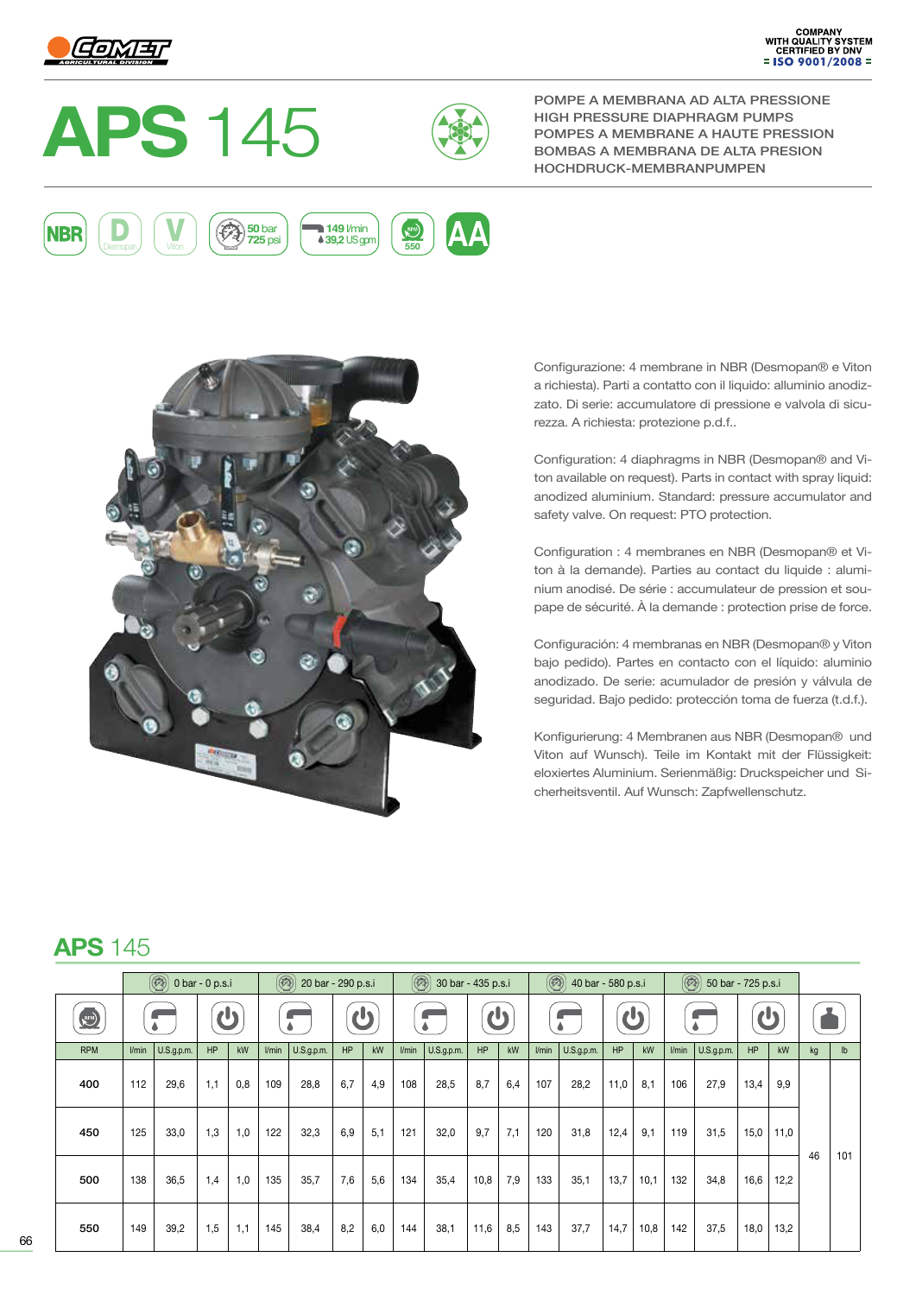



POMPE A MEMBRANA AD ALTA PRESSIONE HIGH PRESSURE DIAPHRAGM PUMPS POMPES A MEMBRANE A HAUTE PRESSION HOCHDRUCK-MEMBRANPUMPEN





Configurazione: 4 membrane in NBR (Desmopan® e Viton a richiesta). Parti a contatto con il liquido: alluminio anodizzato. Di serie: accumulatore di pressione e valvola di sicurezza. A richiesta: protezione p.d.f..

Configuration: 4 diaphragms in NBR (Desmopan® and Viton available on request). Parts in contact with spray liquid: anodized aluminium. Standard: pressure accumulator and safety valve. On request: PTO protection.

Configuration : 4 membranes en NBR (Desmopan® et Viton à la demande). Parties au contact du liquide : aluminium anodisé. De série : accumulateur de pression et soupape de sécurité. À la demande : protection prise de force.

Configuración: 4 membranas en NBR (Desmopan® y Viton bajo pedido). Partes en contacto con el líquido: aluminio anodizado. De serie: acumulador de presión y válvula de seguridad. Bajo pedido: protección toma de fuerza (t.d.f.).

Konfigurierung: 4 Membranen aus NBR (Desmopan® und Viton auf Wunsch). Teile im Kontakt mit der Flüssigkeit: eloxiertes Aluminium. Serienmäßig: Druckspeicher und Sicherheitsventil. Auf Wunsch: Zapfwellenschutz.

## **APS** 145

|            | $\circled{(*)}$ 0 bar - 0 p.s.i |            |     |     | $\circledR$<br>20 bar - 290 p.s.i |            |     |     | $\circledR$<br>30 bar - 435 p.s.i |            |      |     | $\circledcirc$<br>40 bar - 580 p.s.i |            |      |      | $\circledR$<br>50 bar - 725 p.s.i |            |      |      |    |               |
|------------|---------------------------------|------------|-----|-----|-----------------------------------|------------|-----|-----|-----------------------------------|------------|------|-----|--------------------------------------|------------|------|------|-----------------------------------|------------|------|------|----|---------------|
| RPM)       |                                 |            | ပ   |     |                                   |            | d)  |     |                                   |            | d    |     |                                      |            | d)   |      |                                   |            | (h   |      |    |               |
| <b>RPM</b> | l/min                           | U.S.g.p.m. | HP  | kW  | l/min                             | U.S.g.p.m. | HP  | kW  | l/min                             | U.S.g.p.m. | HP   | kW  | l/min                                | U.S.g.p.m. | HP   | kW   | l/min                             | U.S.g.p.m. | HP   | kW   | kg | $\mathsf{lb}$ |
| 400        | 112                             | 29,6       | 1,1 | 0,8 | 109                               | 28,8       | 6,7 | 4,9 | 108                               | 28,5       | 8,7  | 6,4 | 107                                  | 28,2       | 11,0 | 8,1  | 106                               | 27,9       | 13,4 | 9,9  |    | 101           |
| 450        | 125                             | 33,0       | 1,3 | 1,0 | 122                               | 32,3       | 6.9 | 5,1 | 121                               | 32,0       | 9,7  | 7,1 | 120                                  | 31,8       | 12,4 | 9,1  | 119                               | 31,5       | 15,0 | 11,0 | 46 |               |
| 500        | 138                             | 36,5       | 1,4 | 1,0 | 135                               | 35,7       | 7,6 | 5,6 | 134                               | 35,4       | 10,8 | 7,9 | 133                                  | 35,1       | 13,7 | 10,1 | 132                               | 34,8       | 16,6 | 12,2 |    |               |
| 550        | 149                             | 39,2       | 1,5 | 1,1 | 145                               | 38,4       | 8,2 | 6,0 | 144                               | 38,1       | 11,6 | 8,5 | 143                                  | 37,7       | 14,7 | 10,8 | 142                               | 37,5       | 18,0 | 13,2 |    |               |